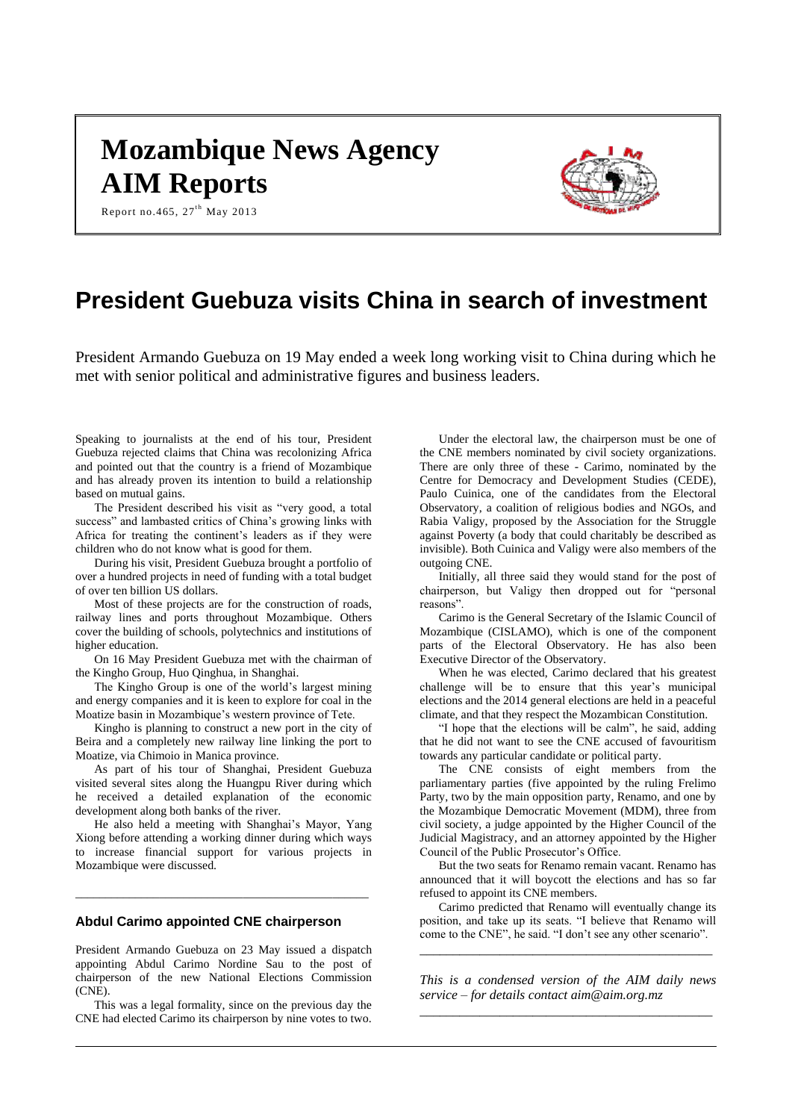# **Mozambique News Agency AIM Reports**



Report no. 465,  $27^{\text{th}}$  May 2013

# **President Guebuza visits China in search of investment**

President Armando Guebuza on 19 May ended a week long working visit to China during which he met with senior political and administrative figures and business leaders.

Speaking to journalists at the end of his tour, President Guebuza rejected claims that China was recolonizing Africa and pointed out that the country is a friend of Mozambique and has already proven its intention to build a relationship based on mutual gains.

The President described his visit as "very good, a total success" and lambasted critics of China's growing links with Africa for treating the continent's leaders as if they were children who do not know what is good for them.

During his visit, President Guebuza brought a portfolio of over a hundred projects in need of funding with a total budget of over ten billion US dollars.

Most of these projects are for the construction of roads, railway lines and ports throughout Mozambique. Others cover the building of schools, polytechnics and institutions of higher education.

On 16 May President Guebuza met with the chairman of the Kingho Group, Huo Qinghua, in Shanghai.

The Kingho Group is one of the world's largest mining and energy companies and it is keen to explore for coal in the Moatize basin in Mozambique's western province of Tete.

Kingho is planning to construct a new port in the city of Beira and a completely new railway line linking the port to Moatize, via Chimoio in Manica province.

As part of his tour of Shanghai, President Guebuza visited several sites along the Huangpu River during which he received a detailed explanation of the economic development along both banks of the river.

He also held a meeting with Shanghai's Mayor, Yang Xiong before attending a working dinner during which ways to increase financial support for various projects in Mozambique were discussed.

\_\_\_\_\_\_\_\_\_\_\_\_\_\_\_\_\_\_\_\_\_\_\_\_\_\_\_\_\_\_\_\_\_\_\_\_\_\_\_\_\_\_\_\_\_\_\_\_\_

### **Abdul Carimo appointed CNE chairperson**

President Armando Guebuza on 23 May issued a dispatch appointing Abdul Carimo Nordine Sau to the post of chairperson of the new National Elections Commission  $(CNE)$ .

This was a legal formality, since on the previous day the CNE had elected Carimo its chairperson by nine votes to two.

Under the electoral law, the chairperson must be one of the CNE members nominated by civil society organizations. There are only three of these - Carimo, nominated by the Centre for Democracy and Development Studies (CEDE), Paulo Cuinica, one of the candidates from the Electoral Observatory, a coalition of religious bodies and NGOs, and Rabia Valigy, proposed by the Association for the Struggle against Poverty (a body that could charitably be described as invisible). Both Cuinica and Valigy were also members of the outgoing CNE.

Initially, all three said they would stand for the post of chairperson, but Valigy then dropped out for "personal reasons".

Carimo is the General Secretary of the Islamic Council of Mozambique (CISLAMO), which is one of the component parts of the Electoral Observatory. He has also been Executive Director of the Observatory.

When he was elected, Carimo declared that his greatest challenge will be to ensure that this year's municipal elections and the 2014 general elections are held in a peaceful climate, and that they respect the Mozambican Constitution.

"I hope that the elections will be calm", he said, adding that he did not want to see the CNE accused of favouritism towards any particular candidate or political party.

The CNE consists of eight members from the parliamentary parties (five appointed by the ruling Frelimo Party, two by the main opposition party, Renamo, and one by the Mozambique Democratic Movement (MDM), three from civil society, a judge appointed by the Higher Council of the Judicial Magistracy, and an attorney appointed by the Higher Council of the Public Prosecutor's Office.

But the two seats for Renamo remain vacant. Renamo has announced that it will boycott the elections and has so far refused to appoint its CNE members.

Carimo predicted that Renamo will eventually change its position, and take up its seats. "I believe that Renamo will come to the CNE", he said. "I don't see any other scenario".

*\_\_\_\_\_\_\_\_\_\_\_\_\_\_\_\_\_\_\_\_\_\_\_\_\_\_\_\_\_\_\_\_\_\_\_\_\_\_\_\_\_\_\_\_*

*This is a condensed version of the AIM daily news service – for details contact [aim@aim.org.mz](mailto:aim@aim.org.mz) \_\_\_\_\_\_\_\_\_\_\_\_\_\_\_\_\_\_\_\_\_\_\_\_\_\_\_\_\_\_\_\_\_\_\_\_\_\_\_\_\_\_\_\_*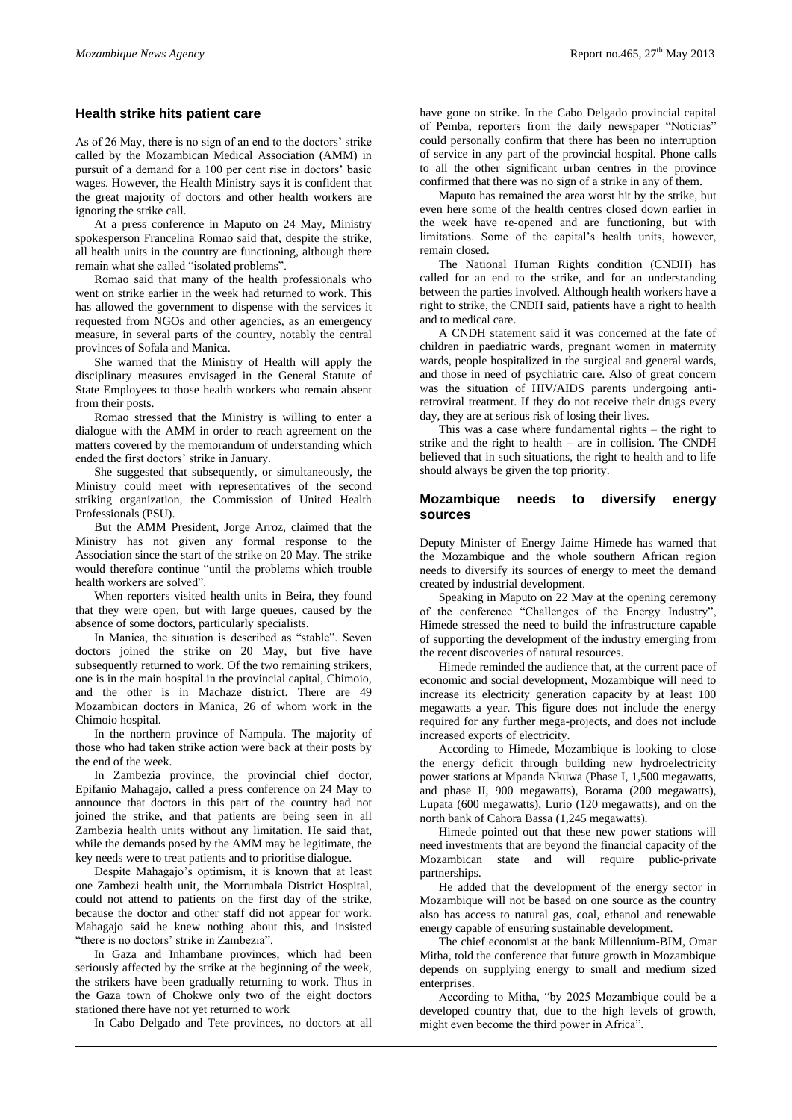#### **Health strike hits patient care**

As of 26 May, there is no sign of an end to the doctors' strike called by the Mozambican Medical Association (AMM) in pursuit of a demand for a 100 per cent rise in doctors' basic wages. However, the Health Ministry says it is confident that the great majority of doctors and other health workers are ignoring the strike call.

At a press conference in Maputo on 24 May, Ministry spokesperson Francelina Romao said that, despite the strike, all health units in the country are functioning, although there remain what she called "isolated problems".

Romao said that many of the health professionals who went on strike earlier in the week had returned to work. This has allowed the government to dispense with the services it requested from NGOs and other agencies, as an emergency measure, in several parts of the country, notably the central provinces of Sofala and Manica.

She warned that the Ministry of Health will apply the disciplinary measures envisaged in the General Statute of State Employees to those health workers who remain absent from their posts.

Romao stressed that the Ministry is willing to enter a dialogue with the AMM in order to reach agreement on the matters covered by the memorandum of understanding which ended the first doctors' strike in January.

She suggested that subsequently, or simultaneously, the Ministry could meet with representatives of the second striking organization, the Commission of United Health Professionals (PSU).

But the AMM President, Jorge Arroz, claimed that the Ministry has not given any formal response to the Association since the start of the strike on 20 May. The strike would therefore continue "until the problems which trouble health workers are solved".

When reporters visited health units in Beira, they found that they were open, but with large queues, caused by the absence of some doctors, particularly specialists.

In Manica, the situation is described as "stable". Seven doctors joined the strike on 20 May, but five have subsequently returned to work. Of the two remaining strikers, one is in the main hospital in the provincial capital, Chimoio, and the other is in Machaze district. There are 49 Mozambican doctors in Manica, 26 of whom work in the Chimoio hospital.

In the northern province of Nampula. The majority of those who had taken strike action were back at their posts by the end of the week.

In Zambezia province, the provincial chief doctor, Epifanio Mahagajo, called a press conference on 24 May to announce that doctors in this part of the country had not joined the strike, and that patients are being seen in all Zambezia health units without any limitation. He said that, while the demands posed by the AMM may be legitimate, the key needs were to treat patients and to prioritise dialogue.

Despite Mahagajo's optimism, it is known that at least one Zambezi health unit, the Morrumbala District Hospital, could not attend to patients on the first day of the strike, because the doctor and other staff did not appear for work. Mahagajo said he knew nothing about this, and insisted "there is no doctors' strike in Zambezia".

In Gaza and Inhambane provinces, which had been seriously affected by the strike at the beginning of the week, the strikers have been gradually returning to work. Thus in the Gaza town of Chokwe only two of the eight doctors stationed there have not yet returned to work

In Cabo Delgado and Tete provinces, no doctors at all

have gone on strike. In the Cabo Delgado provincial capital of Pemba, reporters from the daily newspaper "Noticias" could personally confirm that there has been no interruption of service in any part of the provincial hospital. Phone calls to all the other significant urban centres in the province confirmed that there was no sign of a strike in any of them.

Maputo has remained the area worst hit by the strike, but even here some of the health centres closed down earlier in the week have re-opened and are functioning, but with limitations. Some of the capital's health units, however, remain closed.

The National Human Rights condition (CNDH) has called for an end to the strike, and for an understanding between the parties involved. Although health workers have a right to strike, the CNDH said, patients have a right to health and to medical care.

A CNDH statement said it was concerned at the fate of children in paediatric wards, pregnant women in maternity wards, people hospitalized in the surgical and general wards, and those in need of psychiatric care. Also of great concern was the situation of HIV/AIDS parents undergoing antiretroviral treatment. If they do not receive their drugs every day, they are at serious risk of losing their lives.

This was a case where fundamental rights – the right to strike and the right to health – are in collision. The CNDH believed that in such situations, the right to health and to life should always be given the top priority.

#### **Mozambique needs to diversify energy sources**

Deputy Minister of Energy Jaime Himede has warned that the Mozambique and the whole southern African region needs to diversify its sources of energy to meet the demand created by industrial development.

Speaking in Maputo on 22 May at the opening ceremony of the conference "Challenges of the Energy Industry", Himede stressed the need to build the infrastructure capable of supporting the development of the industry emerging from the recent discoveries of natural resources.

Himede reminded the audience that, at the current pace of economic and social development, Mozambique will need to increase its electricity generation capacity by at least 100 megawatts a year. This figure does not include the energy required for any further mega-projects, and does not include increased exports of electricity.

According to Himede, Mozambique is looking to close the energy deficit through building new hydroelectricity power stations at Mpanda Nkuwa (Phase I, 1,500 megawatts, and phase II, 900 megawatts), Borama (200 megawatts), Lupata (600 megawatts), Lurio (120 megawatts), and on the north bank of Cahora Bassa (1,245 megawatts).

Himede pointed out that these new power stations will need investments that are beyond the financial capacity of the Mozambican state and will require public-private partnerships.

He added that the development of the energy sector in Mozambique will not be based on one source as the country also has access to natural gas, coal, ethanol and renewable energy capable of ensuring sustainable development.

The chief economist at the bank Millennium-BIM, Omar Mitha, told the conference that future growth in Mozambique depends on supplying energy to small and medium sized enterprises.

According to Mitha, "by 2025 Mozambique could be a developed country that, due to the high levels of growth, might even become the third power in Africa".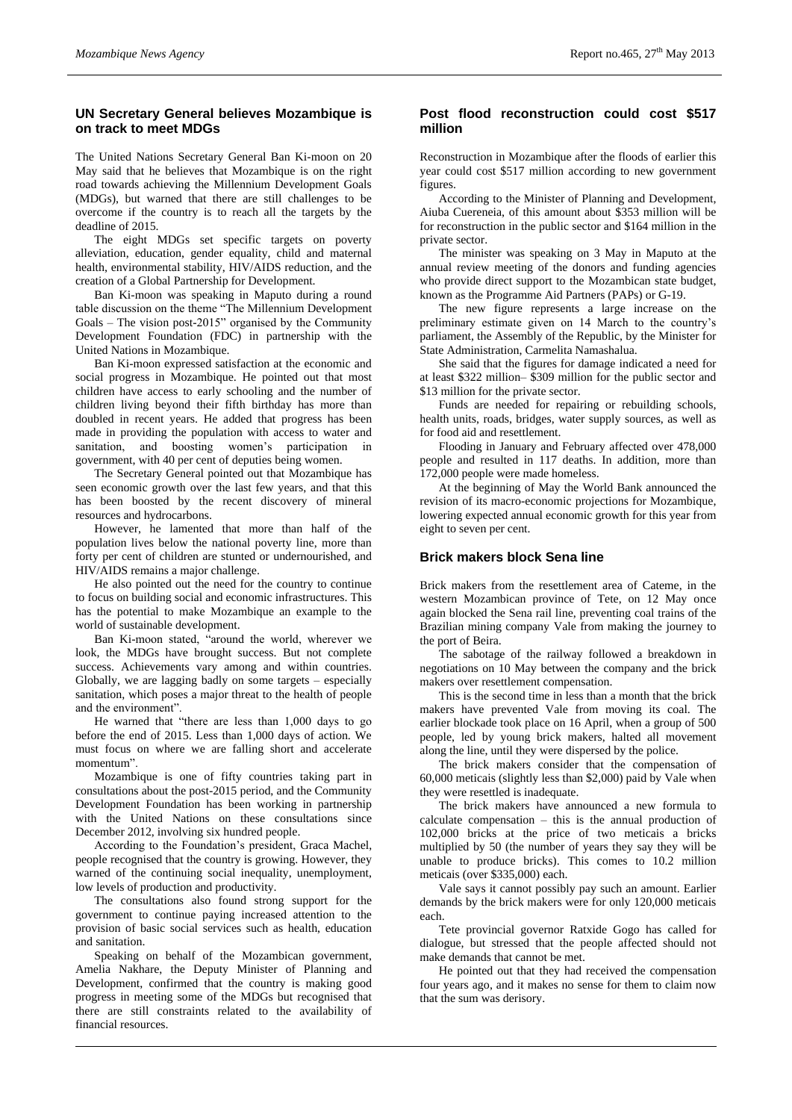# **UN Secretary General believes Mozambique is on track to meet MDGs**

The United Nations Secretary General Ban Ki-moon on 20 May said that he believes that Mozambique is on the right road towards achieving the Millennium Development Goals (MDGs), but warned that there are still challenges to be overcome if the country is to reach all the targets by the deadline of 2015.

The eight MDGs set specific targets on poverty alleviation, education, gender equality, child and maternal health, environmental stability, HIV/AIDS reduction, and the creation of a Global Partnership for Development.

Ban Ki-moon was speaking in Maputo during a round table discussion on the theme "The Millennium Development Goals – The vision post-2015" organised by the Community Development Foundation (FDC) in partnership with the United Nations in Mozambique.

Ban Ki-moon expressed satisfaction at the economic and social progress in Mozambique. He pointed out that most children have access to early schooling and the number of children living beyond their fifth birthday has more than doubled in recent years. He added that progress has been made in providing the population with access to water and sanitation, and boosting women's participation in government, with 40 per cent of deputies being women.

The Secretary General pointed out that Mozambique has seen economic growth over the last few years, and that this has been boosted by the recent discovery of mineral resources and hydrocarbons.

However, he lamented that more than half of the population lives below the national poverty line, more than forty per cent of children are stunted or undernourished, and HIV/AIDS remains a major challenge.

He also pointed out the need for the country to continue to focus on building social and economic infrastructures. This has the potential to make Mozambique an example to the world of sustainable development.

Ban Ki-moon stated, "around the world, wherever we look, the MDGs have brought success. But not complete success. Achievements vary among and within countries. Globally, we are lagging badly on some targets – especially sanitation, which poses a major threat to the health of people and the environment".

He warned that "there are less than 1,000 days to go before the end of 2015. Less than 1,000 days of action. We must focus on where we are falling short and accelerate momentum".

Mozambique is one of fifty countries taking part in consultations about the post-2015 period, and the Community Development Foundation has been working in partnership with the United Nations on these consultations since December 2012, involving six hundred people.

According to the Foundation's president, Graca Machel, people recognised that the country is growing. However, they warned of the continuing social inequality, unemployment, low levels of production and productivity.

The consultations also found strong support for the government to continue paying increased attention to the provision of basic social services such as health, education and sanitation.

Speaking on behalf of the Mozambican government, Amelia Nakhare, the Deputy Minister of Planning and Development, confirmed that the country is making good progress in meeting some of the MDGs but recognised that there are still constraints related to the availability of financial resources.

## **Post flood reconstruction could cost \$517 million**

Reconstruction in Mozambique after the floods of earlier this year could cost \$517 million according to new government figures.

According to the Minister of Planning and Development, Aiuba Cuereneia, of this amount about \$353 million will be for reconstruction in the public sector and \$164 million in the private sector.

The minister was speaking on 3 May in Maputo at the annual review meeting of the donors and funding agencies who provide direct support to the Mozambican state budget, known as the Programme Aid Partners (PAPs) or G-19.

The new figure represents a large increase on the preliminary estimate given on 14 March to the country's parliament, the Assembly of the Republic, by the Minister for State Administration, Carmelita Namashalua.

She said that the figures for damage indicated a need for at least \$322 million– \$309 million for the public sector and \$13 million for the private sector.

Funds are needed for repairing or rebuilding schools, health units, roads, bridges, water supply sources, as well as for food aid and resettlement.

Flooding in January and February affected over 478,000 people and resulted in 117 deaths. In addition, more than 172,000 people were made homeless.

At the beginning of May the World Bank announced the revision of its macro-economic projections for Mozambique, lowering expected annual economic growth for this year from eight to seven per cent.

# **Brick makers block Sena line**

Brick makers from the resettlement area of Cateme, in the western Mozambican province of Tete, on 12 May once again blocked the Sena rail line, preventing coal trains of the Brazilian mining company Vale from making the journey to the port of Beira.

The sabotage of the railway followed a breakdown in negotiations on 10 May between the company and the brick makers over resettlement compensation.

This is the second time in less than a month that the brick makers have prevented Vale from moving its coal. The earlier blockade took place on 16 April, when a group of 500 people, led by young brick makers, halted all movement along the line, until they were dispersed by the police.

The brick makers consider that the compensation of 60,000 meticais (slightly less than \$2,000) paid by Vale when they were resettled is inadequate.

The brick makers have announced a new formula to calculate compensation – this is the annual production of 102,000 bricks at the price of two meticais a bricks multiplied by 50 (the number of years they say they will be unable to produce bricks). This comes to 10.2 million meticais (over \$335,000) each.

Vale says it cannot possibly pay such an amount. Earlier demands by the brick makers were for only 120,000 meticais each.

Tete provincial governor Ratxide Gogo has called for dialogue, but stressed that the people affected should not make demands that cannot be met.

He pointed out that they had received the compensation four years ago, and it makes no sense for them to claim now that the sum was derisory.